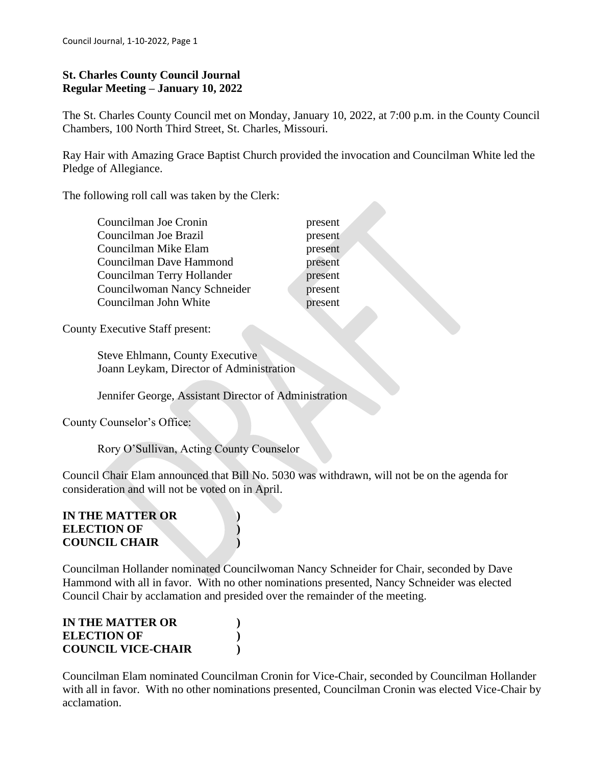### **St. Charles County Council Journal Regular Meeting – January 10, 2022**

The St. Charles County Council met on Monday, January 10, 2022, at 7:00 p.m. in the County Council Chambers, 100 North Third Street, St. Charles, Missouri.

Ray Hair with Amazing Grace Baptist Church provided the invocation and Councilman White led the Pledge of Allegiance.

> present present present present present present present

The following roll call was taken by the Clerk:

| Councilman Joe Cronin        |
|------------------------------|
| Councilman Joe Brazil        |
| Councilman Mike Elam         |
| Councilman Dave Hammond      |
| Councilman Terry Hollander   |
| Councilwoman Nancy Schneider |
| Councilman John White        |
|                              |

County Executive Staff present:

 Steve Ehlmann, County Executive Joann Leykam, Director of Administration

Jennifer George, Assistant Director of Administration

County Counselor's Office:

Rory O'Sullivan, Acting County Counselor

Council Chair Elam announced that Bill No. 5030 was withdrawn, will not be on the agenda for consideration and will not be voted on in April.

#### **IN THE MATTER OR ) ELECTION OF ) COUNCIL CHAIR )**

Councilman Hollander nominated Councilwoman Nancy Schneider for Chair, seconded by Dave Hammond with all in favor. With no other nominations presented, Nancy Schneider was elected Council Chair by acclamation and presided over the remainder of the meeting.

| IN THE MATTER OR          |  |
|---------------------------|--|
| <b>ELECTION OF</b>        |  |
| <b>COUNCIL VICE-CHAIR</b> |  |

Councilman Elam nominated Councilman Cronin for Vice-Chair, seconded by Councilman Hollander with all in favor. With no other nominations presented, Councilman Cronin was elected Vice-Chair by acclamation.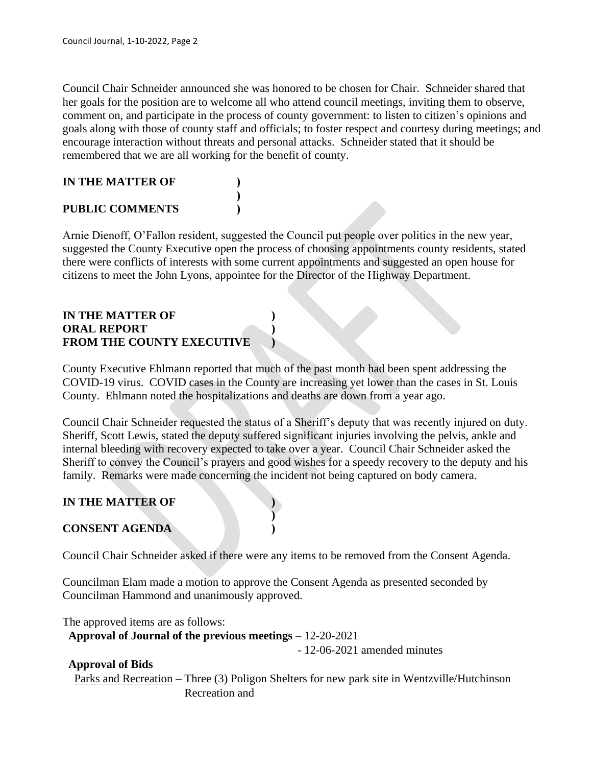Council Chair Schneider announced she was honored to be chosen for Chair. Schneider shared that her goals for the position are to welcome all who attend council meetings, inviting them to observe, comment on, and participate in the process of county government: to listen to citizen's opinions and goals along with those of county staff and officials; to foster respect and courtesy during meetings; and encourage interaction without threats and personal attacks. Schneider stated that it should be remembered that we are all working for the benefit of county.

# **IN THE MATTER OF )**

### **PUBLIC COMMENTS )**

Arnie Dienoff, O'Fallon resident, suggested the Council put people over politics in the new year, suggested the County Executive open the process of choosing appointments county residents, stated there were conflicts of interests with some current appointments and suggested an open house for citizens to meet the John Lyons, appointee for the Director of the Highway Department.

**)**

### **IN THE MATTER OF ) ORAL REPORT ) FROM THE COUNTY EXECUTIVE )**

County Executive Ehlmann reported that much of the past month had been spent addressing the COVID-19 virus. COVID cases in the County are increasing yet lower than the cases in St. Louis County. Ehlmann noted the hospitalizations and deaths are down from a year ago.

Council Chair Schneider requested the status of a Sheriff's deputy that was recently injured on duty. Sheriff, Scott Lewis, stated the deputy suffered significant injuries involving the pelvis, ankle and internal bleeding with recovery expected to take over a year. Council Chair Schneider asked the Sheriff to convey the Council's prayers and good wishes for a speedy recovery to the deputy and his family. Remarks were made concerning the incident not being captured on body camera.

### **IN THE MATTER OF )**

### **CONSENT AGENDA )**

Council Chair Schneider asked if there were any items to be removed from the Consent Agenda.

Councilman Elam made a motion to approve the Consent Agenda as presented seconded by Councilman Hammond and unanimously approved.

**)**

The approved items are as follows:

 **Approval of Journal of the previous meetings** – 12-20-2021

- 12-06-2021 amended minutes

### **Approval of Bids**

Parks and Recreation – Three (3) Poligon Shelters for new park site in Wentzville/Hutchinson Recreation and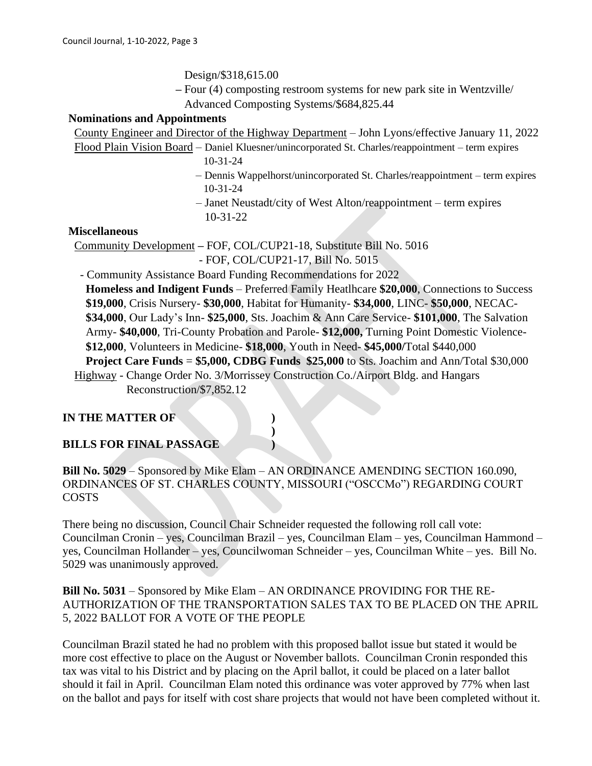Design/\$318,615.00

 **–** Four (4) composting restroom systems for new park site in Wentzville/ Advanced Composting Systems/\$684,825.44

#### **Nominations and Appointments**

| County Engineer and Director of the Highway Department – John Lyons/effective January 11, 2022     |
|----------------------------------------------------------------------------------------------------|
| Flood Plain Vision Board – Daniel Kluesner/unincorporated St. Charles/reappointment – term expires |
| $10-31-24$                                                                                         |
| - Dennis Wappelhorst/unincorporated St. Charles/reappointment – term expires                       |
| $10 - 31 - 24$                                                                                     |
| $-$ Janet Neustadt/city of West Alton/reappointment $-$ term expires                               |
| $10-31-22$                                                                                         |
| <b>Miscellaneous</b>                                                                               |

Community Development **–** FOF, COL/CUP21-18, Substitute Bill No. 5016

- FOF, COL/CUP21-17, Bill No. 5015

- Community Assistance Board Funding Recommendations for 2022

 **Homeless and Indigent Funds** – Preferred Family Heatlhcare **\$20,000**, Connections to Success **\$19,000**, Crisis Nursery- **\$30,000**, Habitat for Humanity- **\$34,000**, LINC- **\$50,000**, NECAC- **\$34,000**, Our Lady's Inn- **\$25,000**, Sts. Joachim & Ann Care Service- **\$101,000**, The Salvation Army- **\$40,000**, Tri-County Probation and Parole- **\$12,000,** Turning Point Domestic Violence- **\$12,000**, Volunteers in Medicine- **\$18,000**, Youth in Need- **\$45,000/**Total \$440,000  **Project Care Funds** = **\$5,000, CDBG Funds \$25,000** to Sts. Joachim and Ann/Total \$30,000 Highway - Change Order No. 3/Morrissey Construction Co./Airport Bldg. and Hangars Reconstruction/\$7,852.12

### **IN THE MATTER OF )**

### **BILLS FOR FINAL PASSAGE )**

**Bill No. 5029** – Sponsored by Mike Elam – AN ORDINANCE AMENDING SECTION 160.090, ORDINANCES OF ST. CHARLES COUNTY, MISSOURI ("OSCCMo") REGARDING COURT COSTS

**)**

There being no discussion, Council Chair Schneider requested the following roll call vote: Councilman Cronin – yes, Councilman Brazil – yes, Councilman Elam – yes, Councilman Hammond – yes, Councilman Hollander – yes, Councilwoman Schneider – yes, Councilman White – yes. Bill No. 5029 was unanimously approved.

**Bill No. 5031** – Sponsored by Mike Elam – AN ORDINANCE PROVIDING FOR THE RE-AUTHORIZATION OF THE TRANSPORTATION SALES TAX TO BE PLACED ON THE APRIL 5, 2022 BALLOT FOR A VOTE OF THE PEOPLE

Councilman Brazil stated he had no problem with this proposed ballot issue but stated it would be more cost effective to place on the August or November ballots. Councilman Cronin responded this tax was vital to his District and by placing on the April ballot, it could be placed on a later ballot should it fail in April. Councilman Elam noted this ordinance was voter approved by 77% when last on the ballot and pays for itself with cost share projects that would not have been completed without it.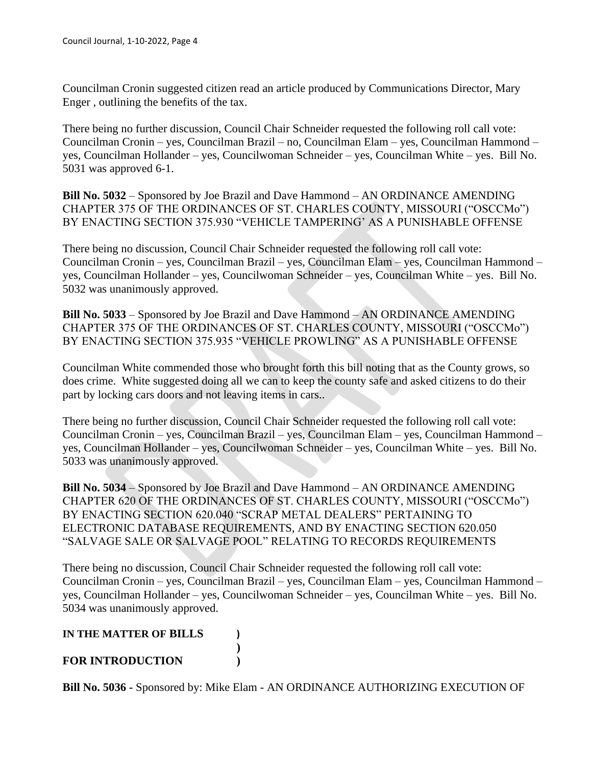Councilman Cronin suggested citizen read an article produced by Communications Director, Mary Enger , outlining the benefits of the tax.

There being no further discussion, Council Chair Schneider requested the following roll call vote: Councilman Cronin – yes, Councilman Brazil – no, Councilman Elam – yes, Councilman Hammond – yes, Councilman Hollander – yes, Councilwoman Schneider – yes, Councilman White – yes. Bill No. 5031 was approved 6-1.

**Bill No. 5032** – Sponsored by Joe Brazil and Dave Hammond – AN ORDINANCE AMENDING CHAPTER 375 OF THE ORDINANCES OF ST. CHARLES COUNTY, MISSOURI ("OSCCMo") BY ENACTING SECTION 375.930 "VEHICLE TAMPERING' AS A PUNISHABLE OFFENSE

There being no discussion, Council Chair Schneider requested the following roll call vote: Councilman Cronin – yes, Councilman Brazil – yes, Councilman Elam – yes, Councilman Hammond – yes, Councilman Hollander – yes, Councilwoman Schneider – yes, Councilman White – yes. Bill No. 5032 was unanimously approved.

**Bill No. 5033** – Sponsored by Joe Brazil and Dave Hammond – AN ORDINANCE AMENDING CHAPTER 375 OF THE ORDINANCES OF ST. CHARLES COUNTY, MISSOURI ("OSCCMo") BY ENACTING SECTION 375.935 "VEHICLE PROWLING" AS A PUNISHABLE OFFENSE

Councilman White commended those who brought forth this bill noting that as the County grows, so does crime. White suggested doing all we can to keep the county safe and asked citizens to do their part by locking cars doors and not leaving items in cars..

There being no further discussion, Council Chair Schneider requested the following roll call vote: Councilman Cronin – yes, Councilman Brazil – yes, Councilman Elam – yes, Councilman Hammond – yes, Councilman Hollander – yes, Councilwoman Schneider – yes, Councilman White – yes. Bill No. 5033 was unanimously approved.

**Bill No. 5034** – Sponsored by Joe Brazil and Dave Hammond – AN ORDINANCE AMENDING CHAPTER 620 OF THE ORDINANCES OF ST. CHARLES COUNTY, MISSOURI ("OSCCMo") BY ENACTING SECTION 620.040 "SCRAP METAL DEALERS" PERTAINING TO ELECTRONIC DATABASE REQUIREMENTS, AND BY ENACTING SECTION 620.050 "SALVAGE SALE OR SALVAGE POOL" RELATING TO RECORDS REQUIREMENTS

There being no discussion, Council Chair Schneider requested the following roll call vote: Councilman Cronin – yes, Councilman Brazil – yes, Councilman Elam – yes, Councilman Hammond – yes, Councilman Hollander – yes, Councilwoman Schneider – yes, Councilman White – yes. Bill No. 5034 was unanimously approved.

#### **IN THE MATTER OF BILLS ) )**

## **FOR INTRODUCTION )**

**Bill No. 5036 -** Sponsored by: Mike Elam - AN ORDINANCE AUTHORIZING EXECUTION OF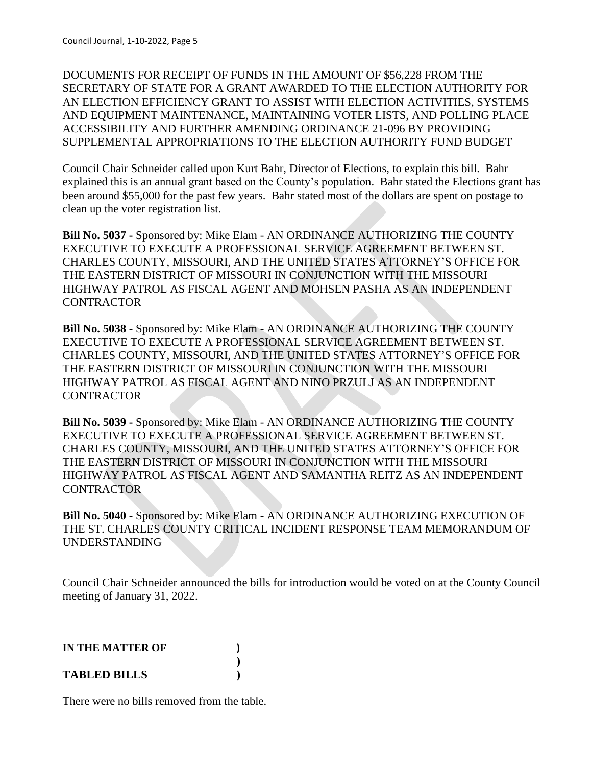DOCUMENTS FOR RECEIPT OF FUNDS IN THE AMOUNT OF \$56,228 FROM THE SECRETARY OF STATE FOR A GRANT AWARDED TO THE ELECTION AUTHORITY FOR AN ELECTION EFFICIENCY GRANT TO ASSIST WITH ELECTION ACTIVITIES, SYSTEMS AND EQUIPMENT MAINTENANCE, MAINTAINING VOTER LISTS, AND POLLING PLACE ACCESSIBILITY AND FURTHER AMENDING ORDINANCE 21-096 BY PROVIDING SUPPLEMENTAL APPROPRIATIONS TO THE ELECTION AUTHORITY FUND BUDGET

Council Chair Schneider called upon Kurt Bahr, Director of Elections, to explain this bill. Bahr explained this is an annual grant based on the County's population. Bahr stated the Elections grant has been around \$55,000 for the past few years. Bahr stated most of the dollars are spent on postage to clean up the voter registration list.

**Bill No. 5037 -** Sponsored by: Mike Elam - AN ORDINANCE AUTHORIZING THE COUNTY EXECUTIVE TO EXECUTE A PROFESSIONAL SERVICE AGREEMENT BETWEEN ST. CHARLES COUNTY, MISSOURI, AND THE UNITED STATES ATTORNEY'S OFFICE FOR THE EASTERN DISTRICT OF MISSOURI IN CONJUNCTION WITH THE MISSOURI HIGHWAY PATROL AS FISCAL AGENT AND MOHSEN PASHA AS AN INDEPENDENT **CONTRACTOR** 

**Bill No. 5038 -** Sponsored by: Mike Elam - AN ORDINANCE AUTHORIZING THE COUNTY EXECUTIVE TO EXECUTE A PROFESSIONAL SERVICE AGREEMENT BETWEEN ST. CHARLES COUNTY, MISSOURI, AND THE UNITED STATES ATTORNEY'S OFFICE FOR THE EASTERN DISTRICT OF MISSOURI IN CONJUNCTION WITH THE MISSOURI HIGHWAY PATROL AS FISCAL AGENT AND NINO PRZULJ AS AN INDEPENDENT CONTRACTOR

**Bill No. 5039 -** Sponsored by: Mike Elam - AN ORDINANCE AUTHORIZING THE COUNTY EXECUTIVE TO EXECUTE A PROFESSIONAL SERVICE AGREEMENT BETWEEN ST. CHARLES COUNTY, MISSOURI, AND THE UNITED STATES ATTORNEY'S OFFICE FOR THE EASTERN DISTRICT OF MISSOURI IN CONJUNCTION WITH THE MISSOURI HIGHWAY PATROL AS FISCAL AGENT AND SAMANTHA REITZ AS AN INDEPENDENT **CONTRACTOR** 

**Bill No. 5040 -** Sponsored by: Mike Elam - AN ORDINANCE AUTHORIZING EXECUTION OF THE ST. CHARLES COUNTY CRITICAL INCIDENT RESPONSE TEAM MEMORANDUM OF UNDERSTANDING

Council Chair Schneider announced the bills for introduction would be voted on at the County Council meeting of January 31, 2022.

| <b>IN THE MATTER OF</b> |  |
|-------------------------|--|
|                         |  |
| <b>TABLED BILLS</b>     |  |

There were no bills removed from the table.